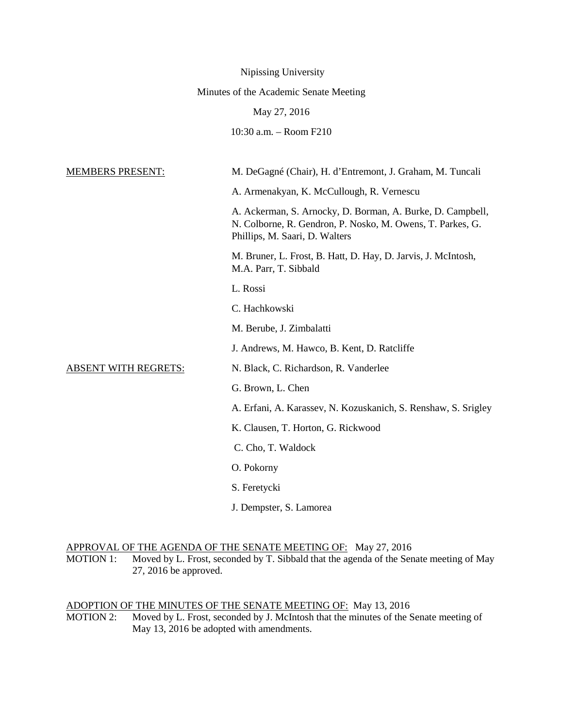|                                        | Nipissing University                                                                                                                                       |
|----------------------------------------|------------------------------------------------------------------------------------------------------------------------------------------------------------|
| Minutes of the Academic Senate Meeting |                                                                                                                                                            |
|                                        | May 27, 2016                                                                                                                                               |
|                                        | 10:30 a.m. - Room F210                                                                                                                                     |
| <b>MEMBERS PRESENT:</b>                | M. DeGagné (Chair), H. d'Entremont, J. Graham, M. Tuncali                                                                                                  |
|                                        |                                                                                                                                                            |
|                                        | A. Armenakyan, K. McCullough, R. Vernescu                                                                                                                  |
|                                        | A. Ackerman, S. Arnocky, D. Borman, A. Burke, D. Campbell,<br>N. Colborne, R. Gendron, P. Nosko, M. Owens, T. Parkes, G.<br>Phillips, M. Saari, D. Walters |
|                                        | M. Bruner, L. Frost, B. Hatt, D. Hay, D. Jarvis, J. McIntosh,<br>M.A. Parr, T. Sibbald                                                                     |
|                                        | L. Rossi                                                                                                                                                   |
|                                        | C. Hachkowski                                                                                                                                              |
|                                        | M. Berube, J. Zimbalatti                                                                                                                                   |
|                                        | J. Andrews, M. Hawco, B. Kent, D. Ratcliffe                                                                                                                |
| <b>ABSENT WITH REGRETS:</b>            | N. Black, C. Richardson, R. Vanderlee                                                                                                                      |
|                                        | G. Brown, L. Chen                                                                                                                                          |
|                                        | A. Erfani, A. Karassev, N. Kozuskanich, S. Renshaw, S. Srigley                                                                                             |
|                                        | K. Clausen, T. Horton, G. Rickwood                                                                                                                         |
|                                        | C. Cho, T. Waldock                                                                                                                                         |
|                                        | O. Pokorny                                                                                                                                                 |
|                                        | S. Feretycki                                                                                                                                               |
|                                        | J. Dempster, S. Lamorea                                                                                                                                    |

APPROVAL OF THE AGENDA OF THE SENATE MEETING OF: May 27, 2016

MOTION 1: Moved by L. Frost, seconded by T. Sibbald that the agenda of the Senate meeting of May 27, 2016 be approved.

ADOPTION OF THE MINUTES OF THE SENATE MEETING OF: May 13, 2016 MOTION 2: Moved by L. Frost, seconded by J. McIntosh that the minutes of the Senate meeting of May 13, 2016 be adopted with amendments.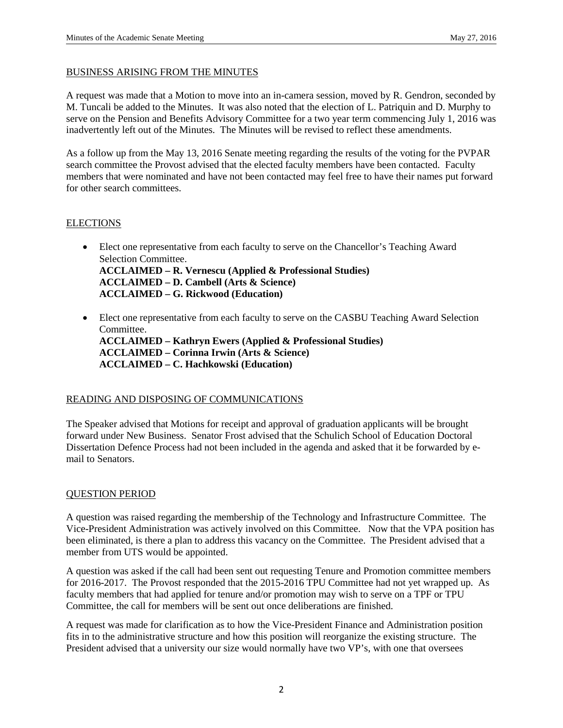#### BUSINESS ARISING FROM THE MINUTES

A request was made that a Motion to move into an in-camera session, moved by R. Gendron, seconded by M. Tuncali be added to the Minutes. It was also noted that the election of L. Patriquin and D. Murphy to serve on the Pension and Benefits Advisory Committee for a two year term commencing July 1, 2016 was inadvertently left out of the Minutes. The Minutes will be revised to reflect these amendments.

As a follow up from the May 13, 2016 Senate meeting regarding the results of the voting for the PVPAR search committee the Provost advised that the elected faculty members have been contacted. Faculty members that were nominated and have not been contacted may feel free to have their names put forward for other search committees.

### **ELECTIONS**

- Elect one representative from each faculty to serve on the Chancellor's Teaching Award Selection Committee. **ACCLAIMED – R. Vernescu (Applied & Professional Studies) ACCLAIMED – D. Cambell (Arts & Science) ACCLAIMED – G. Rickwood (Education)**
- Elect one representative from each faculty to serve on the CASBU Teaching Award Selection Committee. **ACCLAIMED – Kathryn Ewers (Applied & Professional Studies) ACCLAIMED – Corinna Irwin (Arts & Science) ACCLAIMED – C. Hachkowski (Education)**

### READING AND DISPOSING OF COMMUNICATIONS

The Speaker advised that Motions for receipt and approval of graduation applicants will be brought forward under New Business. Senator Frost advised that the Schulich School of Education Doctoral Dissertation Defence Process had not been included in the agenda and asked that it be forwarded by email to Senators.

### QUESTION PERIOD

A question was raised regarding the membership of the Technology and Infrastructure Committee. The Vice-President Administration was actively involved on this Committee. Now that the VPA position has been eliminated, is there a plan to address this vacancy on the Committee. The President advised that a member from UTS would be appointed.

A question was asked if the call had been sent out requesting Tenure and Promotion committee members for 2016-2017. The Provost responded that the 2015-2016 TPU Committee had not yet wrapped up. As faculty members that had applied for tenure and/or promotion may wish to serve on a TPF or TPU Committee, the call for members will be sent out once deliberations are finished.

A request was made for clarification as to how the Vice-President Finance and Administration position fits in to the administrative structure and how this position will reorganize the existing structure. The President advised that a university our size would normally have two VP's, with one that oversees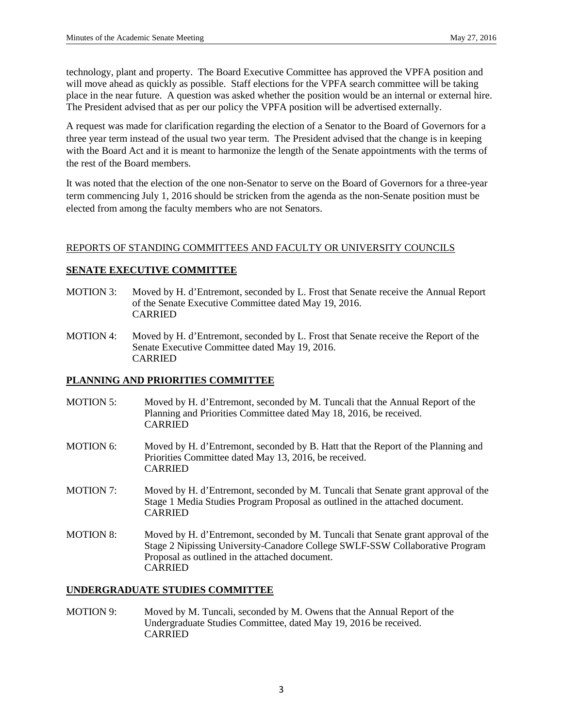technology, plant and property. The Board Executive Committee has approved the VPFA position and will move ahead as quickly as possible. Staff elections for the VPFA search committee will be taking place in the near future. A question was asked whether the position would be an internal or external hire. The President advised that as per our policy the VPFA position will be advertised externally.

A request was made for clarification regarding the election of a Senator to the Board of Governors for a three year term instead of the usual two year term. The President advised that the change is in keeping with the Board Act and it is meant to harmonize the length of the Senate appointments with the terms of the rest of the Board members.

It was noted that the election of the one non-Senator to serve on the Board of Governors for a three-year term commencing July 1, 2016 should be stricken from the agenda as the non-Senate position must be elected from among the faculty members who are not Senators.

### REPORTS OF STANDING COMMITTEES AND FACULTY OR UNIVERSITY COUNCILS

### **SENATE EXECUTIVE COMMITTEE**

- MOTION 3: Moved by H. d'Entremont, seconded by L. Frost that Senate receive the Annual Report of the Senate Executive Committee dated May 19, 2016. CARRIED
- MOTION 4: Moved by H. d'Entremont, seconded by L. Frost that Senate receive the Report of the Senate Executive Committee dated May 19, 2016. CARRIED

# **PLANNING AND PRIORITIES COMMITTEE**

- MOTION 5: Moved by H. d'Entremont, seconded by M. Tuncali that the Annual Report of the Planning and Priorities Committee dated May 18, 2016, be received. CARRIED
- MOTION 6: Moved by H. d'Entremont, seconded by B. Hatt that the Report of the Planning and Priorities Committee dated May 13, 2016, be received. CARRIED
- MOTION 7: Moved by H. d'Entremont, seconded by M. Tuncali that Senate grant approval of the Stage 1 Media Studies Program Proposal as outlined in the attached document. CARRIED
- MOTION 8: Moved by H. d'Entremont, seconded by M. Tuncali that Senate grant approval of the Stage 2 Nipissing University-Canadore College SWLF-SSW Collaborative Program Proposal as outlined in the attached document. CARRIED

### **UNDERGRADUATE STUDIES COMMITTEE**

MOTION 9: Moved by M. Tuncali, seconded by M. Owens that the Annual Report of the Undergraduate Studies Committee, dated May 19, 2016 be received. CARRIED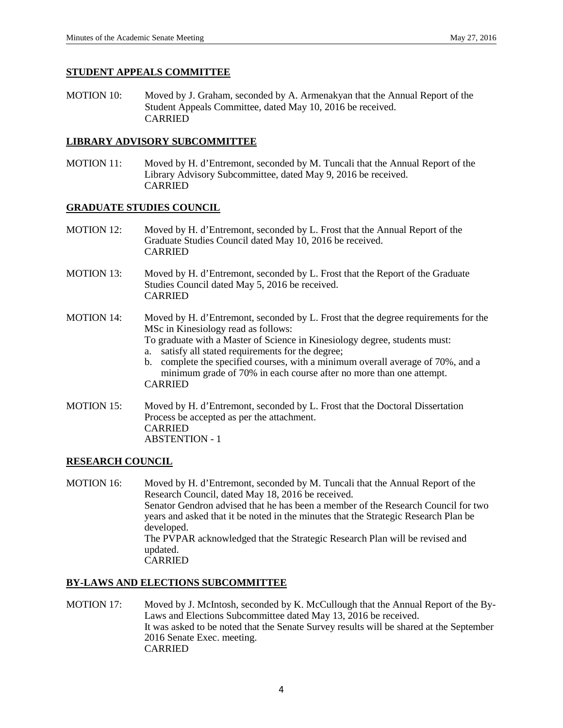#### **STUDENT APPEALS COMMITTEE**

MOTION 10: Moved by J. Graham, seconded by A. Armenakyan that the Annual Report of the Student Appeals Committee, dated May 10, 2016 be received. CARRIED

### **LIBRARY ADVISORY SUBCOMMITTEE**

MOTION 11: Moved by H. d'Entremont, seconded by M. Tuncali that the Annual Report of the Library Advisory Subcommittee, dated May 9, 2016 be received. CARRIED

### **GRADUATE STUDIES COUNCIL**

- MOTION 12: Moved by H. d'Entremont, seconded by L. Frost that the Annual Report of the Graduate Studies Council dated May 10, 2016 be received. CARRIED
- MOTION 13: Moved by H. d'Entremont, seconded by L. Frost that the Report of the Graduate Studies Council dated May 5, 2016 be received. CARRIED
- MOTION 14: Moved by H. d'Entremont, seconded by L. Frost that the degree requirements for the MSc in Kinesiology read as follows:

To graduate with a Master of Science in Kinesiology degree, students must:

- a. satisfy all stated requirements for the degree;
- b. complete the specified courses, with a minimum overall average of 70%, and a minimum grade of 70% in each course after no more than one attempt. CARRIED
- MOTION 15: Moved by H. d'Entremont, seconded by L. Frost that the Doctoral Dissertation Process be accepted as per the attachment. CARRIED ABSTENTION - 1

### **RESEARCH COUNCIL**

MOTION 16: Moved by H. d'Entremont, seconded by M. Tuncali that the Annual Report of the Research Council, dated May 18, 2016 be received. Senator Gendron advised that he has been a member of the Research Council for two years and asked that it be noted in the minutes that the Strategic Research Plan be developed. The PVPAR acknowledged that the Strategic Research Plan will be revised and updated. CARRIED

### **BY-LAWS AND ELECTIONS SUBCOMMITTEE**

MOTION 17: Moved by J. McIntosh, seconded by K. McCullough that the Annual Report of the By-Laws and Elections Subcommittee dated May 13, 2016 be received. It was asked to be noted that the Senate Survey results will be shared at the September 2016 Senate Exec. meeting. CARRIED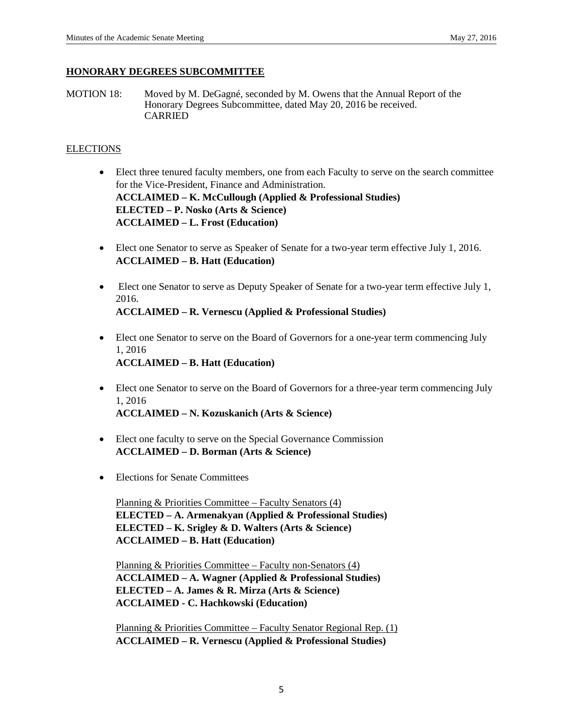### **HONORARY DEGREES SUBCOMMITTEE**

MOTION 18: Moved by M. DeGagné, seconded by M. Owens that the Annual Report of the Honorary Degrees Subcommittee, dated May 20, 2016 be received. CARRIED

# **ELECTIONS**

- Elect three tenured faculty members, one from each Faculty to serve on the search committee for the Vice-President, Finance and Administration. **ACCLAIMED – K. McCullough (Applied & Professional Studies) ELECTED – P. Nosko (Arts & Science) ACCLAIMED – L. Frost (Education)**
- Elect one Senator to serve as Speaker of Senate for a two-year term effective July 1, 2016. **ACCLAIMED – B. Hatt (Education)**
- Elect one Senator to serve as Deputy Speaker of Senate for a two-year term effective July 1, 2016.

**ACCLAIMED – R. Vernescu (Applied & Professional Studies)**

- Elect one Senator to serve on the Board of Governors for a one-year term commencing July 1, 2016 **ACCLAIMED – B. Hatt (Education)**
- Elect one Senator to serve on the Board of Governors for a three-year term commencing July 1, 2016 **ACCLAIMED – N. Kozuskanich (Arts & Science)**
- Elect one faculty to serve on the Special Governance Commission **ACCLAIMED – D. Borman (Arts & Science)**
- Elections for Senate Committees

Planning & Priorities Committee – Faculty Senators (4) **ELECTED – A. Armenakyan (Applied & Professional Studies) ELECTED – K. Srigley & D. Walters (Arts & Science) ACCLAIMED – B. Hatt (Education)**

Planning & Priorities Committee – Faculty non-Senators (4) **ACCLAIMED – A. Wagner (Applied & Professional Studies) ELECTED – A. James & R. Mirza (Arts & Science) ACCLAIMED - C. Hachkowski (Education)**

Planning & Priorities Committee – Faculty Senator Regional Rep. (1) **ACCLAIMED – R. Vernescu (Applied & Professional Studies)**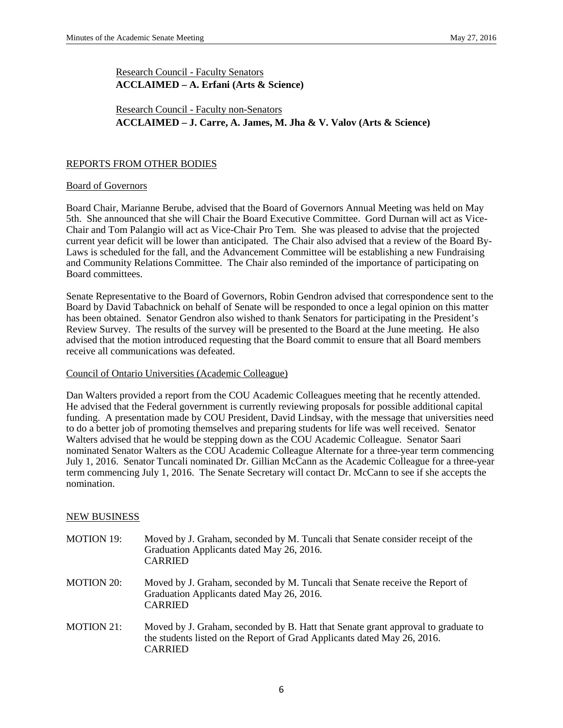Research Council - Faculty Senators **ACCLAIMED – A. Erfani (Arts & Science)**

## Research Council - Faculty non-Senators **ACCLAIMED – J. Carre, A. James, M. Jha & V. Valov (Arts & Science)**

#### REPORTS FROM OTHER BODIES

#### Board of Governors

Board Chair, Marianne Berube, advised that the Board of Governors Annual Meeting was held on May 5th. She announced that she will Chair the Board Executive Committee. Gord Durnan will act as Vice-Chair and Tom Palangio will act as Vice-Chair Pro Tem. She was pleased to advise that the projected current year deficit will be lower than anticipated. The Chair also advised that a review of the Board By-Laws is scheduled for the fall, and the Advancement Committee will be establishing a new Fundraising and Community Relations Committee. The Chair also reminded of the importance of participating on Board committees.

Senate Representative to the Board of Governors, Robin Gendron advised that correspondence sent to the Board by David Tabachnick on behalf of Senate will be responded to once a legal opinion on this matter has been obtained. Senator Gendron also wished to thank Senators for participating in the President's Review Survey. The results of the survey will be presented to the Board at the June meeting. He also advised that the motion introduced requesting that the Board commit to ensure that all Board members receive all communications was defeated.

#### Council of Ontario Universities (Academic Colleague)

Dan Walters provided a report from the COU Academic Colleagues meeting that he recently attended. He advised that the Federal government is currently reviewing proposals for possible additional capital funding. A presentation made by COU President, David Lindsay, with the message that universities need to do a better job of promoting themselves and preparing students for life was well received. Senator Walters advised that he would be stepping down as the COU Academic Colleague. Senator Saari nominated Senator Walters as the COU Academic Colleague Alternate for a three-year term commencing July 1, 2016. Senator Tuncali nominated Dr. Gillian McCann as the Academic Colleague for a three-year term commencing July 1, 2016. The Senate Secretary will contact Dr. McCann to see if she accepts the nomination.

#### NEW BUSINESS

- MOTION 19: Moved by J. Graham, seconded by M. Tuncali that Senate consider receipt of the Graduation Applicants dated May 26, 2016. CARRIED MOTION 20: Moved by J. Graham, seconded by M. Tuncali that Senate receive the Report of Graduation Applicants dated May 26, 2016. CARRIED
- MOTION 21: Moved by J. Graham, seconded by B. Hatt that Senate grant approval to graduate to the students listed on the Report of Grad Applicants dated May 26, 2016. CARRIED